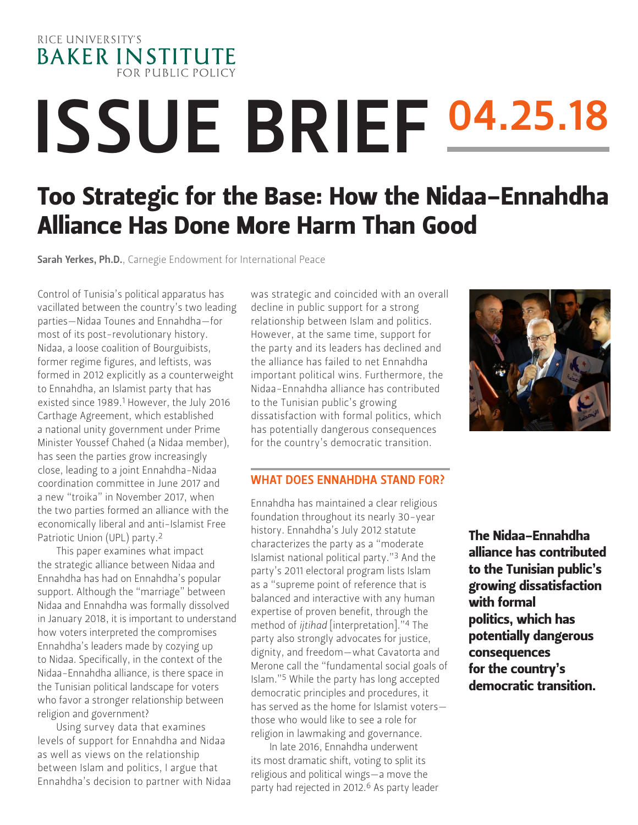

# ISSUE BRIEF 04.25.18

## Too Strategic for the Base: How the Nidaa-Ennahdha Alliance Has Done More Harm Than Good

Sarah Yerkes, Ph.D., Carnegie Endowment for International Peace

Control of Tunisia's political apparatus has vacillated between the country's two leading parties—Nidaa Tounes and Ennahdha—for most of its post-revolutionary history. Nidaa, a loose coalition of Bourguibists, former regime figures, and leftists, was formed in 2012 explicitly as a counterweight to Ennahdha, an Islamist party that has existed since 1989.1 However, the July 2016 Carthage Agreement, which established a national unity government under Prime Minister Youssef Chahed (a Nidaa member), has seen the parties grow increasingly close, leading to a joint Ennahdha-Nidaa coordination committee in June 2017 and a new "troika" in November 2017, when the two parties formed an alliance with the economically liberal and anti-Islamist Free Patriotic Union (UPL) party.2

This paper examines what impact the strategic alliance between Nidaa and Ennahdha has had on Ennahdha's popular support. Although the "marriage" between Nidaa and Ennahdha was formally dissolved in January 2018, it is important to understand how voters interpreted the compromises Ennahdha's leaders made by cozying up to Nidaa. Specifically, in the context of the Nidaa-Ennahdha alliance, is there space in the Tunisian political landscape for voters who favor a stronger relationship between religion and government?

Using survey data that examines levels of support for Ennahdha and Nidaa as well as views on the relationship between Islam and politics, I argue that Ennahdha's decision to partner with Nidaa was strategic and coincided with an overall decline in public support for a strong relationship between Islam and politics. However, at the same time, support for the party and its leaders has declined and the alliance has failed to net Ennahdha important political wins. Furthermore, the Nidaa-Ennahdha alliance has contributed to the Tunisian public's growing dissatisfaction with formal politics, which has potentially dangerous consequences for the country's democratic transition.

#### WHAT DOES ENNAHDHA STAND FOR?

Ennahdha has maintained a clear religious foundation throughout its nearly 30-year history. Ennahdha's July 2012 statute characterizes the party as a "moderate Islamist national political party."3 And the party's 2011 electoral program lists Islam as a "supreme point of reference that is balanced and interactive with any human expertise of proven benefit, through the method of *ijtihad* [interpretation]."4 The party also strongly advocates for justice, dignity, and freedom—what Cavatorta and Merone call the "fundamental social goals of Islam."5 While the party has long accepted democratic principles and procedures, it has served as the home for Islamist voters those who would like to see a role for religion in lawmaking and governance.

In late 2016, Ennahdha underwent its most dramatic shift, voting to split its religious and political wings—a move the party had rejected in 2012.<sup>6</sup> As party leader

The Nidaa-Ennahdha alliance has contributed to the Tunisian public's growing dissatisfaction with formal politics, which has potentially dangerous consequences for the country's democratic transition.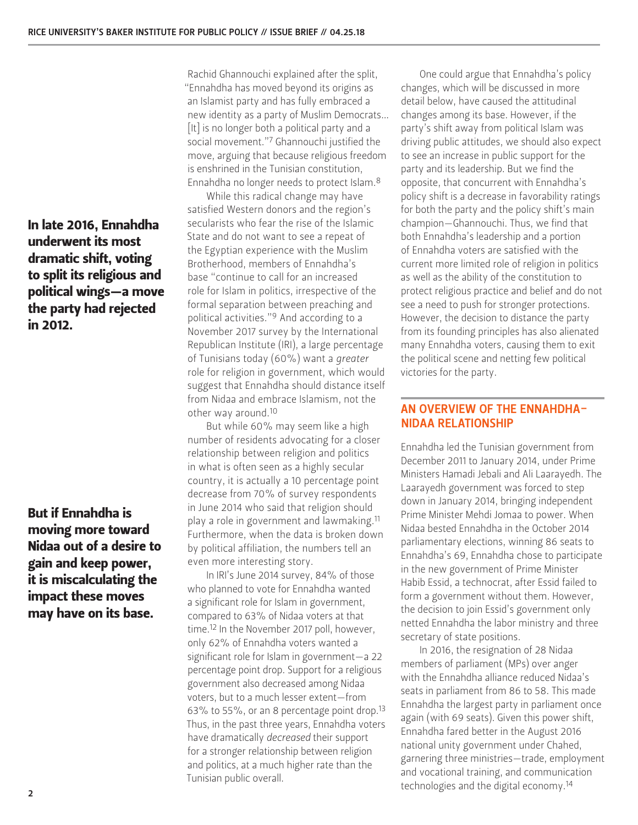In late 2016, Ennahdha underwent its most dramatic shift, voting to split its religious and political wings—a move the party had rejected in 2012.

But if Ennahdha is moving more toward Nidaa out of a desire to gain and keep power, it is miscalculating the impact these moves may have on its base.

Rachid Ghannouchi explained after the split, "Ennahdha has moved beyond its origins as an Islamist party and has fully embraced a new identity as a party of Muslim Democrats… [It] is no longer both a political party and a social movement."7 Ghannouchi justified the move, arguing that because religious freedom is enshrined in the Tunisian constitution, Ennahdha no longer needs to protect Islam.8

While this radical change may have satisfied Western donors and the region's secularists who fear the rise of the Islamic State and do not want to see a repeat of the Egyptian experience with the Muslim Brotherhood, members of Ennahdha's base "continue to call for an increased role for Islam in politics, irrespective of the formal separation between preaching and political activities."9 And according to a November 2017 survey by the International Republican Institute (IRI), a large percentage of Tunisians today (60%) want a *greater* role for religion in government, which would suggest that Ennahdha should distance itself from Nidaa and embrace Islamism, not the other way around.10

But while 60% may seem like a high number of residents advocating for a closer relationship between religion and politics in what is often seen as a highly secular country, it is actually a 10 percentage point decrease from 70% of survey respondents in June 2014 who said that religion should play a role in government and lawmaking.11 Furthermore, when the data is broken down by political affiliation, the numbers tell an even more interesting story.

In IRI's June 2014 survey, 84% of those who planned to vote for Ennahdha wanted a significant role for Islam in government, compared to 63% of Nidaa voters at that time.12 In the November 2017 poll, however, only 62% of Ennahdha voters wanted a significant role for Islam in government—a 22 percentage point drop. Support for a religious government also decreased among Nidaa voters, but to a much lesser extent—from 63% to 55%, or an 8 percentage point drop.13 Thus, in the past three years, Ennahdha voters have dramatically *decreased* their support for a stronger relationship between religion and politics, at a much higher rate than the Tunisian public overall.

One could argue that Ennahdha's policy changes, which will be discussed in more detail below, have caused the attitudinal changes among its base. However, if the party's shift away from political Islam was driving public attitudes, we should also expect to see an increase in public support for the party and its leadership. But we find the opposite, that concurrent with Ennahdha's policy shift is a decrease in favorability ratings for both the party and the policy shift's main champion—Ghannouchi. Thus, we find that both Ennahdha's leadership and a portion of Ennahdha voters are satisfied with the current more limited role of religion in politics as well as the ability of the constitution to protect religious practice and belief and do not see a need to push for stronger protections. However, the decision to distance the party from its founding principles has also alienated many Ennahdha voters, causing them to exit the political scene and netting few political victories for the party.

#### AN OVERVIEW OF THE ENNAHDHA-NIDAA RELATIONSHIP

Ennahdha led the Tunisian government from December 2011 to January 2014, under Prime Ministers Hamadi Jebali and Ali Laarayedh. The Laarayedh government was forced to step down in January 2014, bringing independent Prime Minister Mehdi Jomaa to power. When Nidaa bested Ennahdha in the October 2014 parliamentary elections, winning 86 seats to Ennahdha's 69, Ennahdha chose to participate in the new government of Prime Minister Habib Essid, a technocrat, after Essid failed to form a government without them. However, the decision to join Essid's government only netted Ennahdha the labor ministry and three secretary of state positions.

In 2016, the resignation of 28 Nidaa members of parliament (MPs) over anger with the Ennahdha alliance reduced Nidaa's seats in parliament from 86 to 58. This made Ennahdha the largest party in parliament once again (with 69 seats). Given this power shift, Ennahdha fared better in the August 2016 national unity government under Chahed, garnering three ministries—trade, employment and vocational training, and communication technologies and the digital economy.14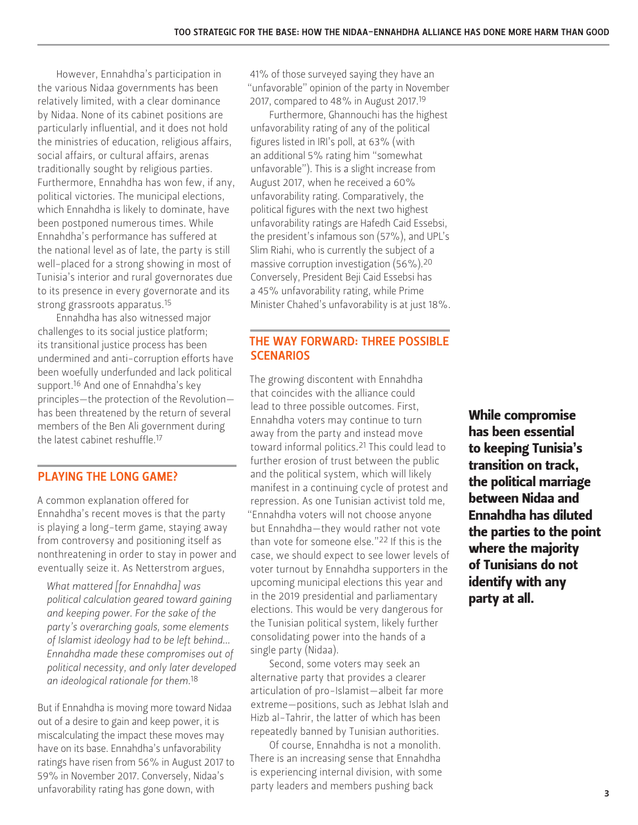However, Ennahdha's participation in the various Nidaa governments has been relatively limited, with a clear dominance by Nidaa. None of its cabinet positions are particularly influential, and it does not hold the ministries of education, religious affairs, social affairs, or cultural affairs, arenas traditionally sought by religious parties. Furthermore, Ennahdha has won few, if any, political victories. The municipal elections, which Ennahdha is likely to dominate, have been postponed numerous times. While Ennahdha's performance has suffered at the national level as of late, the party is still well-placed for a strong showing in most of Tunisia's interior and rural governorates due to its presence in every governorate and its strong grassroots apparatus.15

Ennahdha has also witnessed major challenges to its social justice platform; its transitional justice process has been undermined and anti-corruption efforts have been woefully underfunded and lack political support.<sup>16</sup> And one of Ennahdha's key principles—the protection of the Revolution has been threatened by the return of several members of the Ben Ali government during the latest cabinet reshuffle.17

#### PLAYING THE LONG GAME?

A common explanation offered for Ennahdha's recent moves is that the party is playing a long-term game, staying away from controversy and positioning itself as nonthreatening in order to stay in power and eventually seize it. As Netterstrom argues,

*What mattered [for Ennahdha] was political calculation geared toward gaining and keeping power. For the sake of the party's overarching goals, some elements of Islamist ideology had to be left behind… Ennahdha made these compromises out of political necessity, and only later developed an ideological rationale for them.*18

But if Ennahdha is moving more toward Nidaa out of a desire to gain and keep power, it is miscalculating the impact these moves may have on its base. Ennahdha's unfavorability ratings have risen from 56% in August 2017 to 59% in November 2017. Conversely, Nidaa's unfavorability rating has gone down, with

41% of those surveyed saying they have an "unfavorable" opinion of the party in November 2017, compared to 48% in August 2017.19

Furthermore, Ghannouchi has the highest unfavorability rating of any of the political figures listed in IRI's poll, at 63% (with an additional 5% rating him "somewhat unfavorable"). This is a slight increase from August 2017, when he received a 60% unfavorability rating. Comparatively, the political figures with the next two highest unfavorability ratings are Hafedh Caid Essebsi, the president's infamous son (57%), and UPL's Slim Riahi, who is currently the subject of a massive corruption investigation (56%).20 Conversely, President Beji Caid Essebsi has a 45% unfavorability rating, while Prime Minister Chahed's unfavorability is at just 18%.

#### THE WAY FORWARD: THREE POSSIBLE **SCENARIOS**

The growing discontent with Ennahdha that coincides with the alliance could lead to three possible outcomes. First, Ennahdha voters may continue to turn away from the party and instead move toward informal politics.21 This could lead to further erosion of trust between the public and the political system, which will likely manifest in a continuing cycle of protest and repression. As one Tunisian activist told me, "Ennahdha voters will not choose anyone but Ennahdha—they would rather not vote than vote for someone else."22 If this is the case, we should expect to see lower levels of voter turnout by Ennahdha supporters in the upcoming municipal elections this year and in the 2019 presidential and parliamentary elections. This would be very dangerous for the Tunisian political system, likely further consolidating power into the hands of a single party (Nidaa).

Second, some voters may seek an alternative party that provides a clearer articulation of pro-Islamist—albeit far more extreme—positions, such as Jebhat Islah and Hizb al-Tahrir, the latter of which has been repeatedly banned by Tunisian authorities.

Of course, Ennahdha is not a monolith. There is an increasing sense that Ennahdha is experiencing internal division, with some party leaders and members pushing back

While compromise has been essential to keeping Tunisia's transition on track, the political marriage between Nidaa and Ennahdha has diluted the parties to the point where the majority of Tunisians do not identify with any party at all.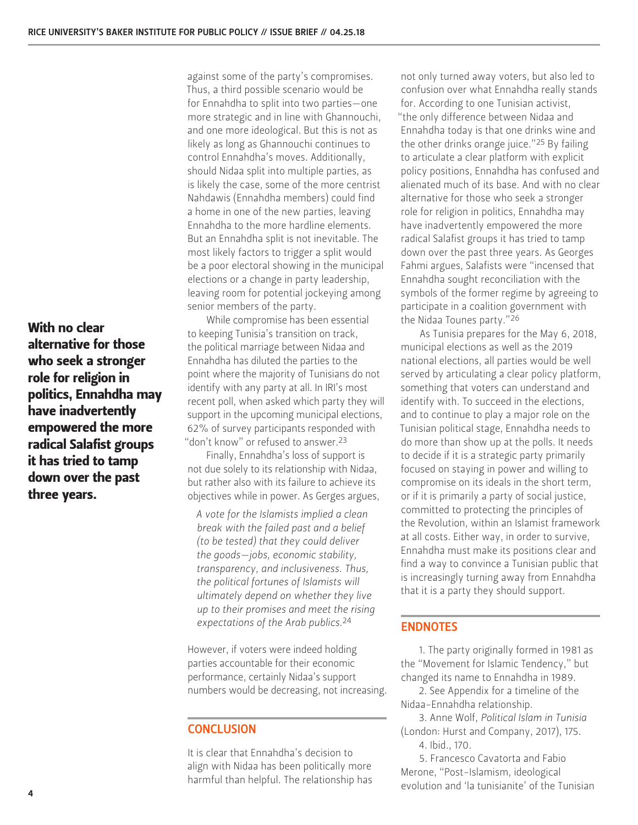With no clear alternative for those who seek a stronger role for religion in politics, Ennahdha may have inadvertently empowered the more radical Salafist groups it has tried to tamp down over the past three years.

against some of the party's compromises. Thus, a third possible scenario would be for Ennahdha to split into two parties—one more strategic and in line with Ghannouchi, and one more ideological. But this is not as likely as long as Ghannouchi continues to control Ennahdha's moves. Additionally, should Nidaa split into multiple parties, as is likely the case, some of the more centrist Nahdawis (Ennahdha members) could find a home in one of the new parties, leaving Ennahdha to the more hardline elements. But an Ennahdha split is not inevitable. The most likely factors to trigger a split would be a poor electoral showing in the municipal elections or a change in party leadership, leaving room for potential jockeying among senior members of the party.

While compromise has been essential to keeping Tunisia's transition on track, the political marriage between Nidaa and Ennahdha has diluted the parties to the point where the majority of Tunisians do not identify with any party at all. In IRI's most recent poll, when asked which party they will support in the upcoming municipal elections, 62% of survey participants responded with "don't know" or refused to answer.<sup>23</sup>

Finally, Ennahdha's loss of support is not due solely to its relationship with Nidaa, but rather also with its failure to achieve its objectives while in power. As Gerges argues,

*A vote for the Islamists implied a clean break with the failed past and a belief (to be tested) that they could deliver the goods—jobs, economic stability, transparency, and inclusiveness. Thus, the political fortunes of Islamists will ultimately depend on whether they live up to their promises and meet the rising expectations of the Arab publics.*24

However, if voters were indeed holding parties accountable for their economic performance, certainly Nidaa's support numbers would be decreasing, not increasing.

#### **CONCLUSION**

It is clear that Ennahdha's decision to align with Nidaa has been politically more harmful than helpful. The relationship has

not only turned away voters, but also led to confusion over what Ennahdha really stands for. According to one Tunisian activist, "the only difference between Nidaa and Ennahdha today is that one drinks wine and the other drinks orange juice."25 By failing to articulate a clear platform with explicit policy positions, Ennahdha has confused and alienated much of its base. And with no clear alternative for those who seek a stronger role for religion in politics, Ennahdha may have inadvertently empowered the more radical Salafist groups it has tried to tamp down over the past three years. As Georges Fahmi argues, Salafists were "incensed that Ennahdha sought reconciliation with the symbols of the former regime by agreeing to participate in a coalition government with the Nidaa Tounes party."26

As Tunisia prepares for the May 6, 2018, municipal elections as well as the 2019 national elections, all parties would be well served by articulating a clear policy platform, something that voters can understand and identify with. To succeed in the elections, and to continue to play a major role on the Tunisian political stage, Ennahdha needs to do more than show up at the polls. It needs to decide if it is a strategic party primarily focused on staying in power and willing to compromise on its ideals in the short term, or if it is primarily a party of social justice, committed to protecting the principles of the Revolution, within an Islamist framework at all costs. Either way, in order to survive, Ennahdha must make its positions clear and find a way to convince a Tunisian public that is increasingly turning away from Ennahdha that it is a party they should support.

#### ENDNOTES

1. The party originally formed in 1981 as the "Movement for Islamic Tendency," but changed its name to Ennahdha in 1989.

2. See Appendix for a timeline of the Nidaa-Ennahdha relationship.

3. Anne Wolf, *Political Islam in Tunisia* (London: Hurst and Company, 2017), 175.

4. Ibid., 170.

5. Francesco Cavatorta and Fabio Merone, "Post-Islamism, ideological evolution and 'la tunisianite' of the Tunisian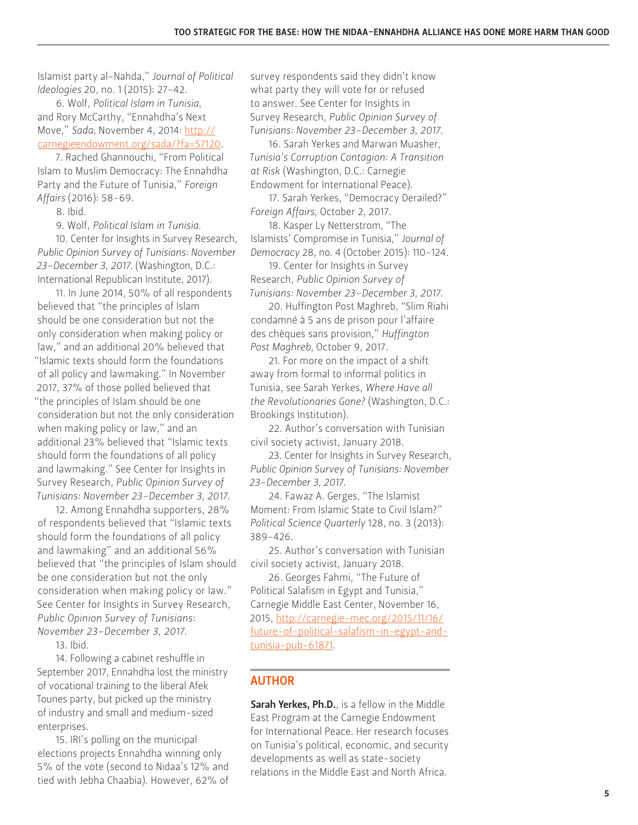Islamist party al-Nahda," *Journal of Political Ideologies* 20, no. 1 (2015): 27-42.

6. Wolf, *Political Islam in Tunisia*, and Rory McCarthy, "Ennahdha's Next Move," *Sada*, November 4, 2014: [http://](http://carnegieendowment.org/sada/?fa=57120) [carnegieendowment.org/sada/?fa=57120.](http://carnegieendowment.org/sada/?fa=57120)

7. Rached Ghannouchi, "From Political Islam to Muslim Democracy: The Ennahdha Party and the Future of Tunisia," *Foreign Affairs* (2016): 58-69.

8. Ibid.

9. Wolf, *Political Islam in Tunisia*.

10. Center for Insights in Survey Research, *Public Opinion Survey of Tunisians: November 23–December 3, 2017*. (Washington, D.C.: International Republican Institute, 2017).

11. In June 2014, 50% of all respondents believed that "the principles of Islam should be one consideration but not the only consideration when making policy or law," and an additional 20% believed that "Islamic texts should form the foundations of all policy and lawmaking." In November 2017, 37% of those polled believed that "the principles of Islam should be one consideration but not the only consideration when making policy or law," and an additional 23% believed that "Islamic texts should form the foundations of all policy and lawmaking." See Center for Insights in Survey Research, *Public Opinion Survey of Tunisians: November 23–December 3, 2017*.

12. Among Ennahdha supporters, 28% of respondents believed that "Islamic texts should form the foundations of all policy and lawmaking" and an additional 56% believed that "the principles of Islam should be one consideration but not the only consideration when making policy or law." See Center for Insights in Survey Research, *Public Opinion Survey of Tunisians: November 23–December 3, 2017*.

13. Ibid.

14. Following a cabinet reshuffle in September 2017, Ennahdha lost the ministry of vocational training to the liberal Afek Tounes party, but picked up the ministry of industry and small and medium-sized enterprises.

15. IRI's polling on the municipal elections projects Ennahdha winning only 5% of the vote (second to Nidaa's 12% and tied with Jebha Chaabia). However, 62% of

survey respondents said they didn't know what party they will vote for or refused to answer. See Center for Insights in Survey Research, *Public Opinion Survey of Tunisians: November 23–December 3, 2017*.

16. Sarah Yerkes and Marwan Muasher, *Tunisia's Corruption Contagion: A Transition at Risk* (Washington, D.C.: Carnegie Endowment for International Peace).

17. Sarah Yerkes, "Democracy Derailed?" *Foreign Affairs*, October 2, 2017.

18. Kasper Ly Netterstrom, "The Islamists' Compromise in Tunisia," *Journal of Democracy* 28, no. 4 (October 2015): 110-124.

19. Center for Insights in Survey Research, *Public Opinion Survey of Tunisians: November 23–December 3, 2017*.

20. Huffington Post Maghreb, "Slim Riahi condamné à 5 ans de prison pour l'affaire des chèques sans provision," *Huffington Post Maghreb*, October 9, 2017.

21. For more on the impact of a shift away from formal to informal politics in Tunisia, see Sarah Yerkes, *Where Have all the Revolutionaries Gone?* (Washington, D.C.: Brookings Institution).

22. Author's conversation with Tunisian civil society activist, January 2018.

23. Center for Insights in Survey Research, *Public Opinion Survey of Tunisians: November 23–December 3, 2017*.

24. Fawaz A. Gerges, "The Islamist Moment: From Islamic State to Civil Islam?" *Political Science Quarterly* 128, no. 3 (2013): 389-426.

25. Author's conversation with Tunisian civil society activist, January 2018.

26. Georges Fahmi, "The Future of Political Salafism in Egypt and Tunisia," Carnegie Middle East Center, November 16, 2015, [http://carnegie-mec.org/2015/11/16/](http://carnegie-mec.org/2015/11/16/future-of-political-salafism-in-egypt-and-tunisia-pub-61871) [future-of-political-salafism-in-egypt-and](http://carnegie-mec.org/2015/11/16/future-of-political-salafism-in-egypt-and-tunisia-pub-61871)[tunisia-pub-61871](http://carnegie-mec.org/2015/11/16/future-of-political-salafism-in-egypt-and-tunisia-pub-61871).

### AUTHOR

Sarah Yerkes, Ph.D., is a fellow in the Middle East Program at the Carnegie Endowment for International Peace. Her research focuses on Tunisia's political, economic, and security developments as well as state-society relations in the Middle East and North Africa.